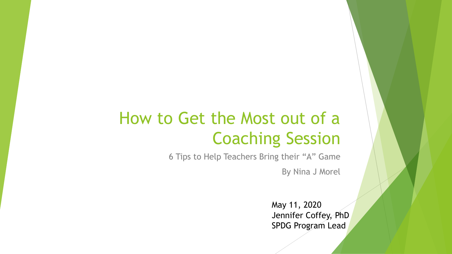#### How to Get the Most out of a Coaching Session

6 Tips to Help Teachers Bring their "A" Game

By Nina J Morel

May 11, 2020 Jennifer Coffey, PhD SPDG Program Lead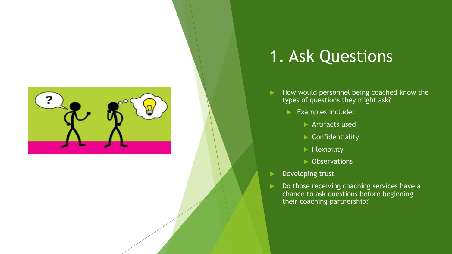

#### 1. Ask Questions

- $\blacktriangleright$  How would personnel being coached know the types of questions they might ask?
	- Examples include:
		- $\blacktriangleright$  Artifacts used
		- $\blacktriangleright$  Confidentiality
		- $\blacktriangleright$  Flexibility
		- $\blacktriangleright$  Observations
- Developing trust
- Do those receiving coaching services have a chance to ask questions before beginning their coaching partnership?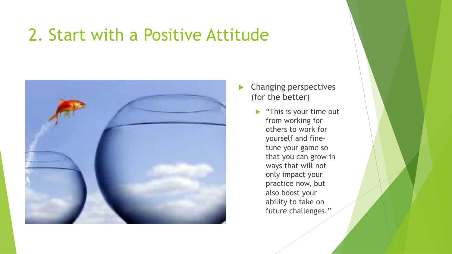#### 2. Start with a Positive Attitude



- $\blacktriangleright$  Changing perspectives (for the better)
	- $\blacktriangleright$  "This is your time out from working for others to work for yourself and finetune your game so that you can grow in ways that will not only impact your practice now, but also boost your ability to take on future challenges."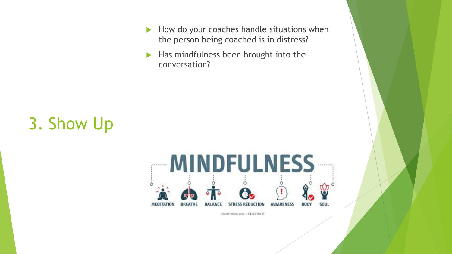- $\blacktriangleright$  How do your coaches handle situations when the person being coached is in distress?
- $\blacktriangleright$  Has mindfulness been brought into the conversation?

## 3. Show Up



stutterstock.com +1412330435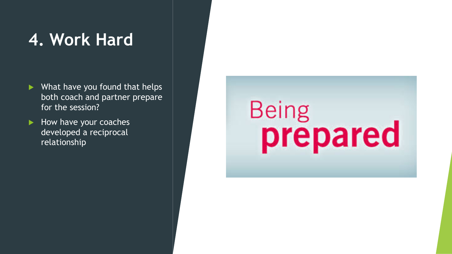#### **4. Work Hard**

- $\blacktriangleright$  What have you found that helps both coach and partner prepare for the session?
- $\blacktriangleright$  How have your coaches developed a reciprocal relationship

# Being<br>prepared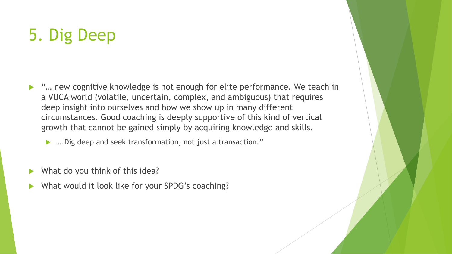### 5. Dig Deep

▶ "... new cognitive knowledge is not enough for elite performance. We teach in a VUCA world (volatile, uncertain, complex, and ambiguous) that requires deep insight into ourselves and how we show up in many different circumstances. Good coaching is deeply supportive of this kind of vertical growth that cannot be gained simply by acquiring knowledge and skills.

▶ ….Dig deep and seek transformation, not just a transaction."

- What do you think of this idea?
- What would it look like for your SPDG's coaching?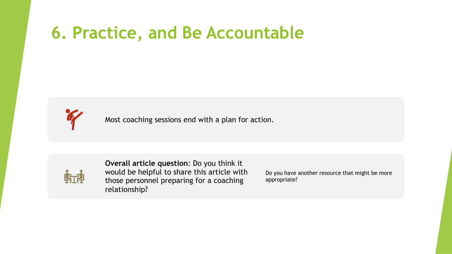#### **6. Practice, and Be Accountable**



Most coaching sessions end with a plan for action.



**Overall article question**: Do you think it would be helpful to share this article with those personnel preparing for a coaching relationship?

Do you have another resource that might be more appropriate?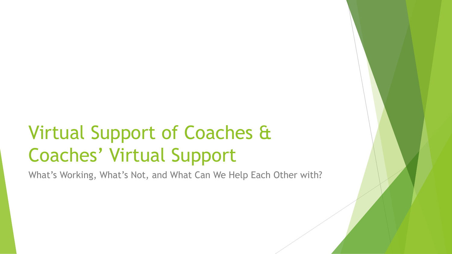# Virtual Support of Coaches & Coaches' Virtual Support

What's Working, What's Not, and What Can We Help Each Other with?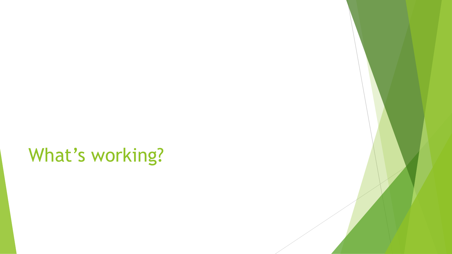# What's working?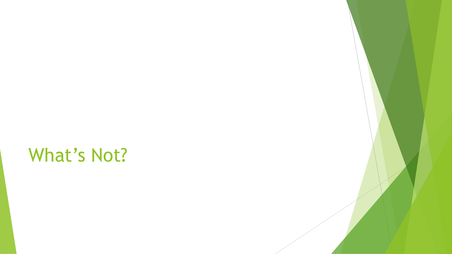# What's Not?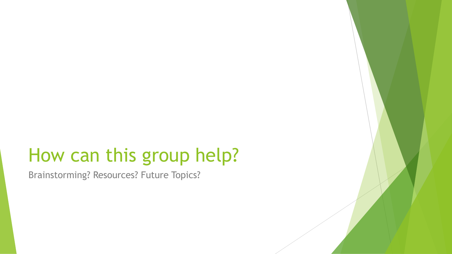## How can this group help?

Brainstorming? Resources? Future Topics?